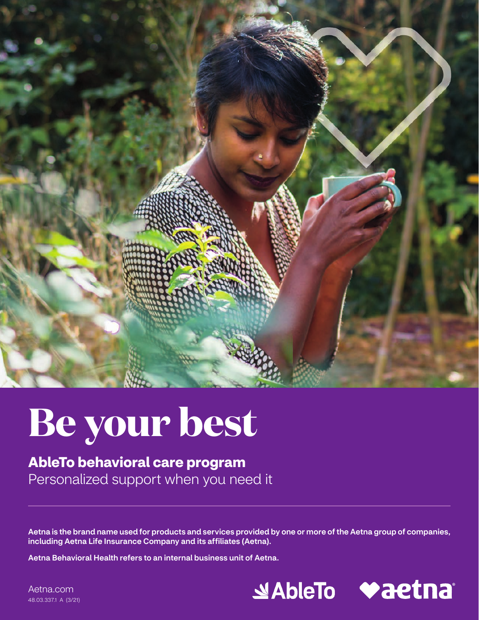

# **Be your best**

**AbleTo behavioral care program**  Personalized support when you need it

Aetna is the brand name used for products and services provided by one or more of the Aetna group of companies, including Aetna Life Insurance Company and its affiliates (Aetna).

Aetna Behavioral Health refers to an internal business unit of Aetna.



[Aetna.com](http://www.Aetna.com) 48.03.337.1 A (3/21)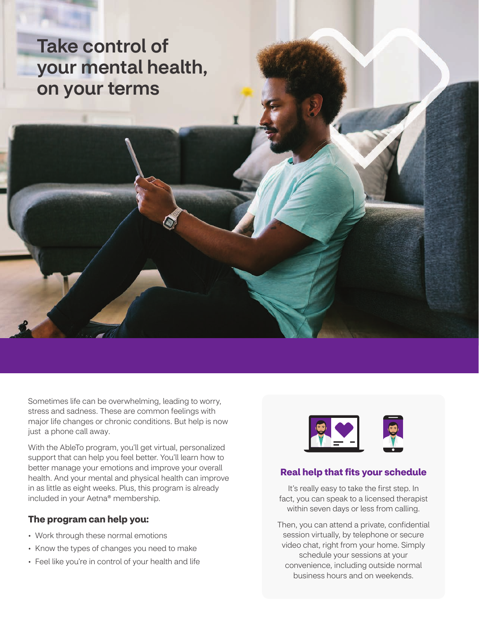### Take control of your mental health, on your terms

Sometimes life can be overwhelming, leading to worry, stress and sadness. These are common feelings with major life changes or chronic conditions. But help is now just a phone call away.

With the AbleTo program, you'll get virtual, personalized support that can help you feel better. You'll learn how to better manage your emotions and improve your overall health. And your mental and physical health can improve in as little as eight weeks. Plus, this program is already included in your Aetna® membership.

#### **The program can help you:**

- Work through these normal emotions
- Know the types of changes you need to make
- Feel like you're in control of your health and life



#### **Real help that fits your schedule**

It's really easy to take the first step. In fact, you can speak to a licensed therapist within seven days or less from calling.

Then, you can attend a private, confidential session virtually, by telephone or secure video chat, right from your home. Simply schedule your sessions at your convenience, including outside normal business hours and on weekends.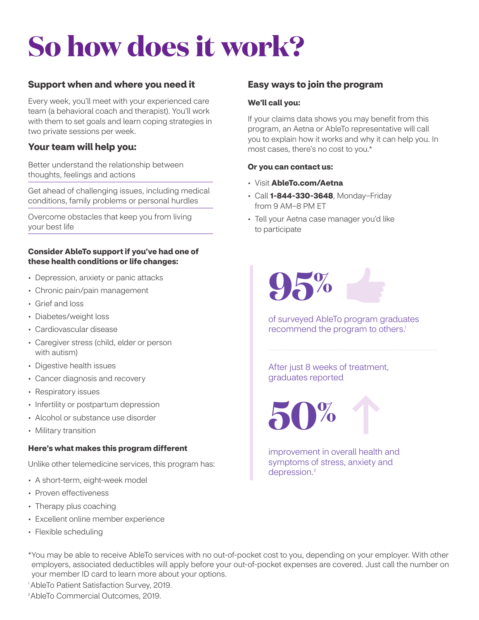## **So how does it work?**

#### **Support when and where you need it**

Every week, you'll meet with your experienced care team (a behavioral coach and therapist). You'll work with them to set goals and learn coping strategies in two private sessions per week.

#### **Your team will help you:**

Better understand the relationship between thoughts, feelings and actions

Get ahead of challenging issues, including medical conditions, family problems or personal hurdles

Overcome obstacles that keep you from living your best life

#### **Consider AbleTo support if you've had one of these health conditions or life changes:**

- Depression, anxiety or panic attacks
- Chronic pain/pain management
- Grief and loss
- Diabetes/weight loss
- Cardiovascular disease
- Caregiver stress (child, elder or person with autism)
- Digestive health issues
- Cancer diagnosis and recovery
- Respiratory issues
- Infertility or postpartum depression
- Alcohol or substance use disorder
- Military transition

#### **Here's what makes this program different**

Unlike other telemedicine services, this program has:

- A short-term, eight-week model
- Proven effectiveness
- Therapy plus coaching
- Excellent online member experience
- Flexible scheduling

#### **Easy ways to join the program**

#### **We'll call you:**

If your claims data shows you may benefit from this program, an Aetna or AbleTo representative will call you to explain how it works and why it can help you. In most cases, there's no cost to you.\*

#### **Or you can contact us:**

- Visit **[AbleTo.com/Aetna](http://AbleTo.com/Aetna)**
- Call **1-844-330-3648**, Monday–Friday from 9 AM–8 PM ET
- Tell your Aetna case manager you'd like to participate



of surveyed AbleTo program graduates recommend the program to others.<sup>1</sup>

After just 8 weeks of treatment, graduates reported



improvement in overall health and symptoms of stress, anxiety and depression.<sup>2</sup>

 \*You may be able to receive AbleTo services with no out-of-pocket cost to you, depending on your employer. With other employers, associated deductibles will apply before your out-of-pocket expenses are covered. Just call the number on your member ID card to learn more about your options.

1 AbleTo Patient Satisfaction Survey, 2019.

2 AbleTo Commercial Outcomes, 2019.